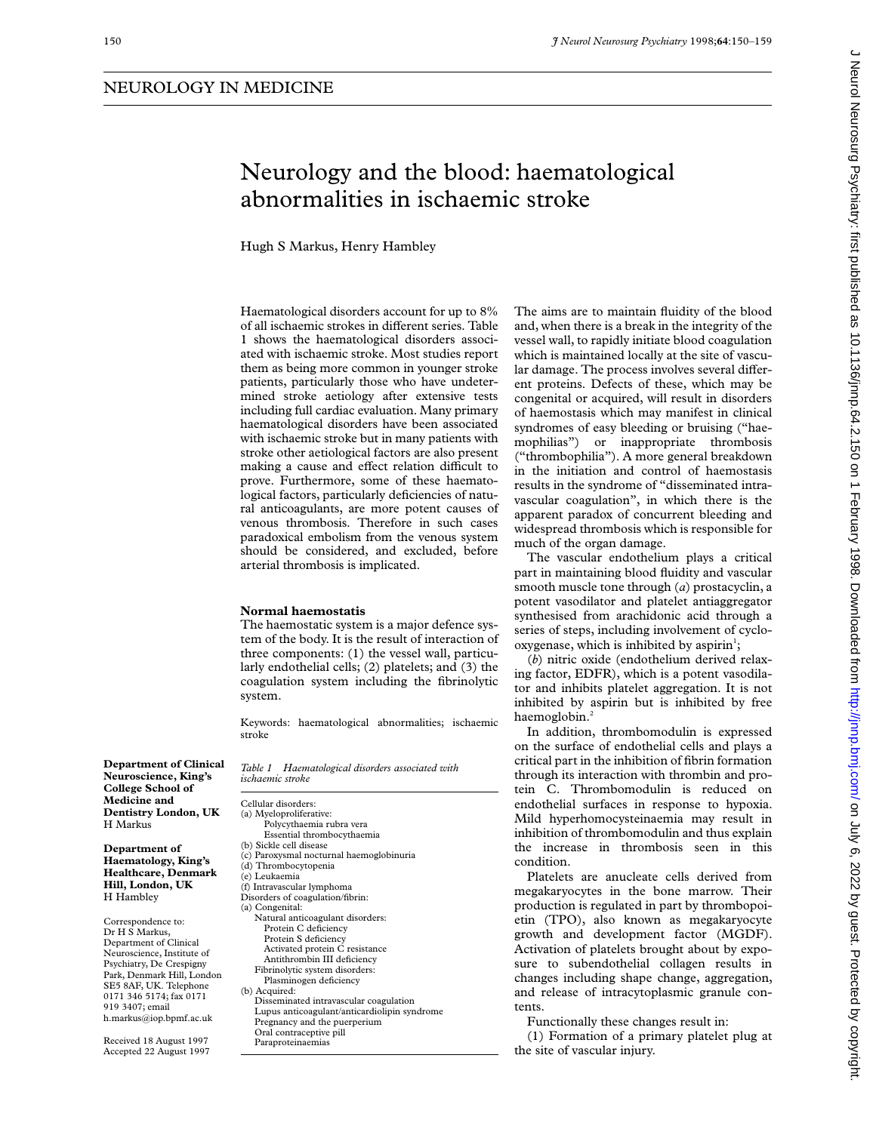# NEUROLOGY IN MEDICINE

# Neurology and the blood: haematological abnormalities in ischaemic stroke

Hugh S Markus, Henry Hambley

Haematological disorders account for up to 8% of all ischaemic strokes in different series. Table 1 shows the haematological disorders associated with ischaemic stroke. Most studies report them as being more common in younger stroke patients, particularly those who have undetermined stroke aetiology after extensive tests including full cardiac evaluation. Many primary haematological disorders have been associated with ischaemic stroke but in many patients with stroke other aetiological factors are also present making a cause and effect relation difficult to prove. Furthermore, some of these haematological factors, particularly deficiencies of natural anticoagulants, are more potent causes of venous thrombosis. Therefore in such cases paradoxical embolism from the venous system should be considered, and excluded, before arterial thrombosis is implicated.

# **Normal haemostatis**

The haemostatic system is a major defence system of the body. It is the result of interaction of three components: (1) the vessel wall, particularly endothelial cells; (2) platelets; and (3) the coagulation system including the fibrinolytic system.

Keywords: haematological abnormalities; ischaemic stroke

**Department of Clinical Neuroscience, King's College School of Medicine and Dentistry London, UK** H Markus

**Department of Haematology, King's Healthcare, Denmark Hill, London, UK** H Hambley

Correspondence to: Dr H S Markus, Department of Clinical Neuroscience, Institute of Psychiatry, De Crespigny Park, Denmark Hill, London SE5 8AF, UK. Telephone 0171 346 5174; fax 0171 919 3407; email h.markus@iop.bpmf.ac.uk

Received 18 August 1997 Accepted 22 August 1997

| Table 1 Haematological disorders associated with<br><i>ischaemic stroke</i> |  |
|-----------------------------------------------------------------------------|--|
| Cellular disorders:<br>(a) Myeloproliferative:<br>Polycythaemia rubra vera  |  |

- Essential thrombocythaemia (b) Sickle cell disease
- (c) Paroxysmal nocturnal haemoglobinuria
- (d) Thrombocytopenia (e) Leukaemia
- (f) Intravascular lymphoma
- 
- Disorders of coagulation/fibrin: (a) Congenital: Natural anticoagulant disorders: Protein C deficiency Protein S deficiency Activated protein C resistance Antithrombin III deficiency Fibrinolytic system disorders: Plasminogen deficiency (b) Acquired:
	- Disseminated intravascular coagulation Lupus anticoagulant/anticardiolipin syndrome Pregnancy and the puerperium Oral contraceptive pill Paraproteinaemias

The aims are to maintain fluidity of the blood and, when there is a break in the integrity of the vessel wall, to rapidly initiate blood coagulation which is maintained locally at the site of vascular damage. The process involves several different proteins. Defects of these, which may be congenital or acquired, will result in disorders of haemostasis which may manifest in clinical syndromes of easy bleeding or bruising ("haemophilias") or inappropriate thrombosis ("thrombophilia"). A more general breakdown in the initiation and control of haemostasis results in the syndrome of "disseminated intravascular coagulation", in which there is the apparent paradox of concurrent bleeding and widespread thrombosis which is responsible for much of the organ damage.

The vascular endothelium plays a critical part in maintaining blood fluidity and vascular smooth muscle tone through (*a*) prostacyclin, a potent vasodilator and platelet antiaggregator synthesised from arachidonic acid through a series of steps, including involvement of cyclooxygenase, which is inhibited by aspirin<sup>1</sup>;

(*b*) nitric oxide (endothelium derived relaxing factor, EDFR), which is a potent vasodilator and inhibits platelet aggregation. It is not inhibited by aspirin but is inhibited by free haemoglobin.<sup>2</sup>

In addition, thrombomodulin is expressed on the surface of endothelial cells and plays a critical part in the inhibition of fibrin formation through its interaction with thrombin and protein C. Thrombomodulin is reduced on endothelial surfaces in response to hypoxia. Mild hyperhomocysteinaemia may result in inhibition of thrombomodulin and thus explain the increase in thrombosis seen in this condition.

Platelets are anucleate cells derived from megakaryocytes in the bone marrow. Their production is regulated in part by thrombopoietin (TPO), also known as megakaryocyte growth and development factor (MGDF). Activation of platelets brought about by exposure to subendothelial collagen results in changes including shape change, aggregation, and release of intracytoplasmic granule contents.

Functionally these changes result in:

(1) Formation of a primary platelet plug at the site of vascular injury.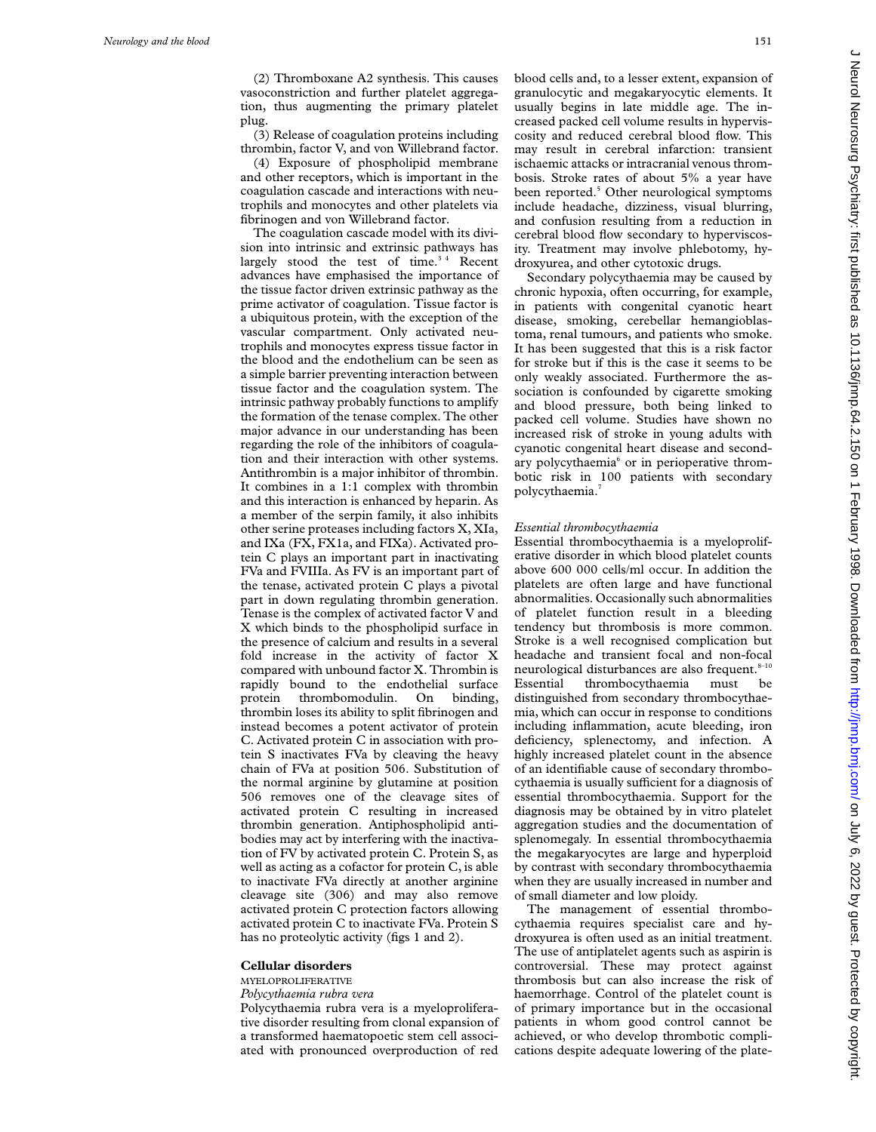(2) Thromboxane A2 synthesis. This causes vasoconstriction and further platelet aggregation, thus augmenting the primary platelet plug.

(3) Release of coagulation proteins including thrombin, factor V, and von Willebrand factor.

(4) Exposure of phospholipid membrane and other receptors, which is important in the coagulation cascade and interactions with neutrophils and monocytes and other platelets via fibrinogen and von Willebrand factor.

The coagulation cascade model with its division into intrinsic and extrinsic pathways has largely stood the test of time.<sup>34</sup> Recent advances have emphasised the importance of the tissue factor driven extrinsic pathway as the prime activator of coagulation. Tissue factor is a ubiquitous protein, with the exception of the vascular compartment. Only activated neutrophils and monocytes express tissue factor in the blood and the endothelium can be seen as a simple barrier preventing interaction between tissue factor and the coagulation system. The intrinsic pathway probably functions to amplify the formation of the tenase complex. The other major advance in our understanding has been regarding the role of the inhibitors of coagulation and their interaction with other systems. Antithrombin is a major inhibitor of thrombin. It combines in a 1:1 complex with thrombin and this interaction is enhanced by heparin. As a member of the serpin family, it also inhibits other serine proteases including factors X, XIa, and IXa (FX, FX1a, and FIXa). Activated protein C plays an important part in inactivating FVa and FVIIIa. As FV is an important part of the tenase, activated protein C plays a pivotal part in down regulating thrombin generation. Tenase is the complex of activated factor V and X which binds to the phospholipid surface in the presence of calcium and results in a several fold increase in the activity of factor X compared with unbound factor X. Thrombin is rapidly bound to the endothelial surface protein thrombomodulin. On binding, thrombin loses its ability to split fibrinogen and instead becomes a potent activator of protein C. Activated protein C in association with protein S inactivates FVa by cleaving the heavy chain of FVa at position 506. Substitution of the normal arginine by glutamine at position 506 removes one of the cleavage sites of activated protein C resulting in increased thrombin generation. Antiphospholipid antibodies may act by interfering with the inactivation of FV by activated protein C. Protein S, as well as acting as a cofactor for protein C, is able to inactivate FVa directly at another arginine cleavage site (306) and may also remove activated protein C protection factors allowing activated protein C to inactivate FVa. Protein S has no proteolytic activity (figs 1 and 2).

## **Cellular disorders**

MYELOPROLIFERATIVE *Polycythaemia rubra vera*

Polycythaemia rubra vera is a myeloproliferative disorder resulting from clonal expansion of a transformed haematopoetic stem cell associated with pronounced overproduction of red

blood cells and, to a lesser extent, expansion of granulocytic and megakaryocytic elements. It usually begins in late middle age. The increased packed cell volume results in hyperviscosity and reduced cerebral blood flow. This may result in cerebral infarction: transient ischaemic attacks or intracranial venous thrombosis. Stroke rates of about 5% a year have been reported.<sup>5</sup> Other neurological symptoms include headache, dizziness, visual blurring, and confusion resulting from a reduction in cerebral blood flow secondary to hyperviscosity. Treatment may involve phlebotomy, hydroxyurea, and other cytotoxic drugs.

Secondary polycythaemia may be caused by chronic hypoxia, often occurring, for example, in patients with congenital cyanotic heart disease, smoking, cerebellar hemangioblastoma, renal tumours, and patients who smoke. It has been suggested that this is a risk factor for stroke but if this is the case it seems to be only weakly associated. Furthermore the association is confounded by cigarette smoking and blood pressure, both being linked to packed cell volume. Studies have shown no increased risk of stroke in young adults with cyanotic congenital heart disease and secondary polycythaemia<sup>6</sup> or in perioperative thrombotic risk in 100 patients with secondary polycythaemia.<sup>7</sup>

#### *Essential thrombocythaemia*

Essential thrombocythaemia is a myeloproliferative disorder in which blood platelet counts above 600 000 cells/ml occur. In addition the platelets are often large and have functional abnormalities. Occasionally such abnormalities of platelet function result in a bleeding tendency but thrombosis is more common. Stroke is a well recognised complication but headache and transient focal and non-focal neurological disturbances are also frequent.<sup>8-10</sup> Essential thrombocythaemia must be distinguished from secondary thrombocythaemia, which can occur in response to conditions including inflammation, acute bleeding, iron deficiency, splenectomy, and infection. A highly increased platelet count in the absence of an identifiable cause of secondary thrombocythaemia is usually sufficient for a diagnosis of essential thrombocythaemia. Support for the diagnosis may be obtained by in vitro platelet aggregation studies and the documentation of splenomegaly. In essential thrombocythaemia the megakaryocytes are large and hyperploid by contrast with secondary thrombocythaemia when they are usually increased in number and of small diameter and low ploidy.

The management of essential thrombocythaemia requires specialist care and hydroxyurea is often used as an initial treatment. The use of antiplatelet agents such as aspirin is controversial. These may protect against thrombosis but can also increase the risk of haemorrhage. Control of the platelet count is of primary importance but in the occasional patients in whom good control cannot be achieved, or who develop thrombotic complications despite adequate lowering of the plate-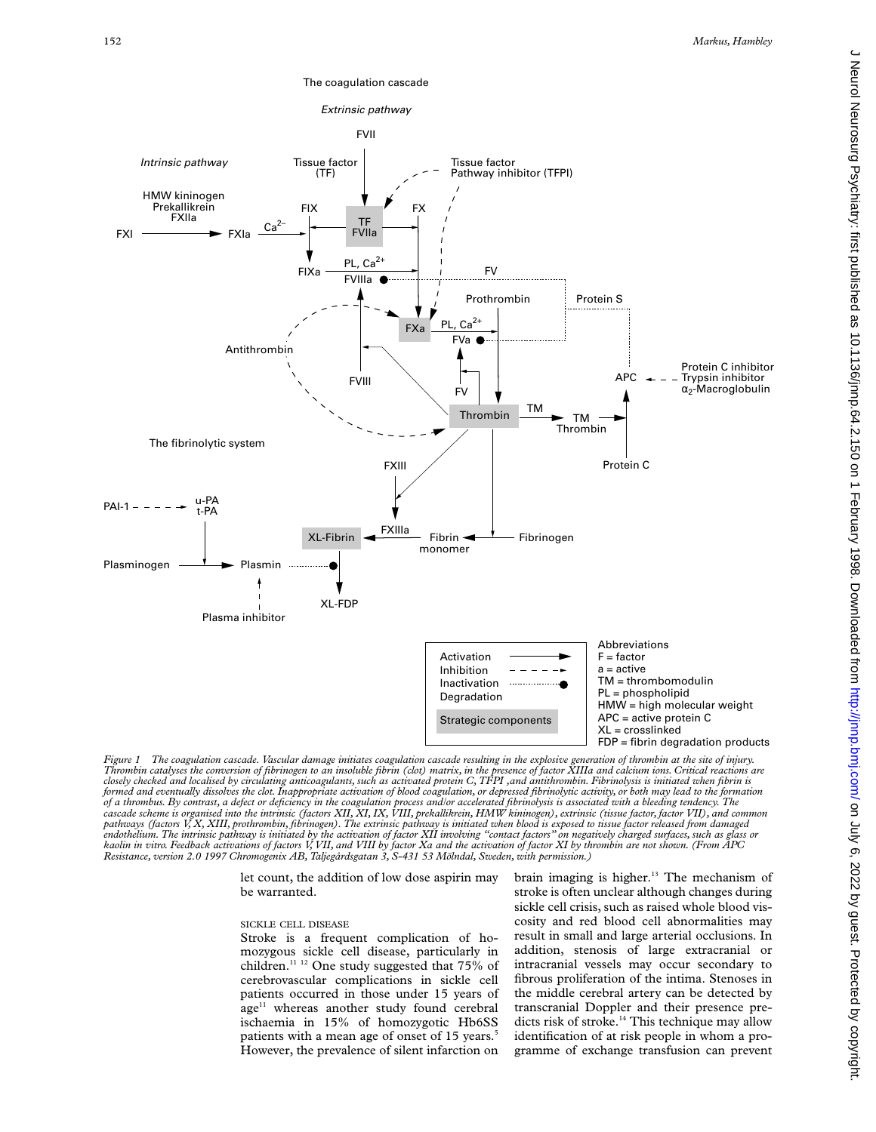

Figure 1 – The coagulation cascade. Vascular damage initiates coagulation cascade resulting in the explosive generation of thrombin at the site of injury.<br>Thrombin catalyses the conversion of fibrinogen to an insoluble fib *formed and eventually dissolves the clot. Inappropriate activation of blood coagulation, or depressed fibrinolytic activity, or both may lead to the formation* of a thrombus. By contrast, a defect or deficiency in the coagulation process and/or accelerated fibrinolysis is associated with a bleeding tendency. The<br>cascade scheme is organised into the intrinsic (factors XII, XI, IX, pathways (factors V, X, XIII, prothrombin, fibrinogen). The extrinsic pathway is initiated when blood is exposed to tissue factor released from damaged<br>endothelium. The intrinsic pathway is initiated by the activation of f kaolin in vitro. Feedback activations of factors V, VII, and VIII by factor Xa and the activation of factor XI by thrombin are not shown. (From APC<br>Resistance, version 2.0 1997 Chromogenix AB, Taljegårdsgatan 3, S–431 53 M

let count, the addition of low dose aspirin may be warranted.

#### SICKLE CELL DISEASE

Stroke is a frequent complication of homozygous sickle cell disease, particularly in children.11 12 One study suggested that 75% of cerebrovascular complications in sickle cell patients occurred in those under 15 years of  $age<sup>11</sup>$  whereas another study found cerebral ischaemia in 15% of homozygotic Hb6SS patients with a mean age of onset of 15 years.<sup>5</sup> However, the prevalence of silent infarction on

brain imaging is higher.<sup>13</sup> The mechanism of stroke is often unclear although changes during sickle cell crisis, such as raised whole blood viscosity and red blood cell abnormalities may result in small and large arterial occlusions. In addition, stenosis of large extracranial or intracranial vessels may occur secondary to fibrous proliferation of the intima. Stenoses in the middle cerebral artery can be detected by transcranial Doppler and their presence predicts risk of stroke.<sup>14</sup> This technique may allow identification of at risk people in whom a programme of exchange transfusion can prevent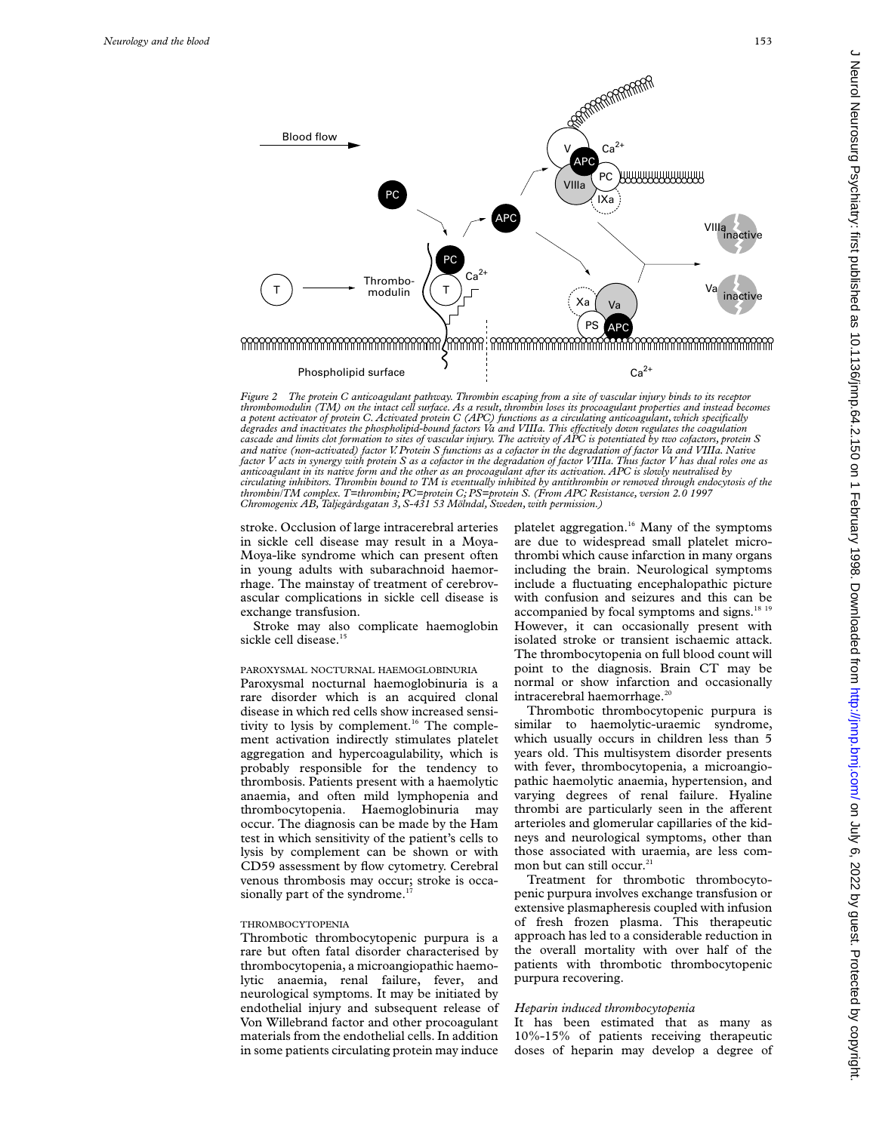

*Figure 2 The protein C anticoagulant pathway. Thrombin escaping from a site of vascular injury binds to its receptor thrombomodulin (TM) on the intact cell surface. As a result, thrombin loses its procoagulant properties and instead becomes a potent activator of protein C. Activated protein C (APC) functions as a circulating anticoagulant, which specifically degrades and inactivates the phospholipid-bound factors Va and VIIIa. This effectively down regulates the coagulation cascade and limits clot formation to sites of vascular injury. The activity of APC is potentiated by two cofactors, protein S and native (non-activated) factor V. Protein S functions as a cofactor in the degradation of factor Va and VIIIa. Native factor V acts in synergy with protein S as a cofactor in the degradation of factor VIIIa. Thus factor V has dual roles one as anticoagulant in its native form and the other as an procoagulant after its activation. APC is slowly neutralised by circulating inhibitors. Thrombin bound to TM is eventually inhibited by antithrombin or removed through endocytosis of the thrombin/TM complex. T=thrombin; PC=protein C; PS=protein S. (From APC Resistance, version 2.0 1997 Chromogenix AB, Taljegårdsgatan 3, S-431 53 Mölndal, Sweden, with permission.)*

stroke. Occlusion of large intracerebral arteries in sickle cell disease may result in a Moya-Moya-like syndrome which can present often in young adults with subarachnoid haemorrhage. The mainstay of treatment of cerebrovascular complications in sickle cell disease is exchange transfusion.

Stroke may also complicate haemoglobin sickle cell disease.<sup>15</sup>

# PAROXYSMAL NOCTURNAL HAEMOGLOBINURIA

Paroxysmal nocturnal haemoglobinuria is a rare disorder which is an acquired clonal disease in which red cells show increased sensitivity to lysis by complement.<sup>16</sup> The complement activation indirectly stimulates platelet aggregation and hypercoagulability, which is probably responsible for the tendency to thrombosis. Patients present with a haemolytic anaemia, and often mild lymphopenia and thrombocytopenia. Haemoglobinuria may occur. The diagnosis can be made by the Ham test in which sensitivity of the patient's cells to lysis by complement can be shown or with CD59 assessment by flow cytometry. Cerebral venous thrombosis may occur; stroke is occasionally part of the syndrome.<sup>17</sup>

#### THROMBOCYTOPENIA

Thrombotic thrombocytopenic purpura is a rare but often fatal disorder characterised by thrombocytopenia, a microangiopathic haemolytic anaemia, renal failure, fever, and neurological symptoms. It may be initiated by endothelial injury and subsequent release of Von Willebrand factor and other procoagulant materials from the endothelial cells. In addition in some patients circulating protein may induce

platelet aggregation.<sup>16</sup> Many of the symptoms are due to widespread small platelet microthrombi which cause infarction in many organs including the brain. Neurological symptoms include a fluctuating encephalopathic picture with confusion and seizures and this can be accompanied by focal symptoms and signs.<sup>18 19</sup> However, it can occasionally present with isolated stroke or transient ischaemic attack. The thrombocytopenia on full blood count will point to the diagnosis. Brain CT may be normal or show infarction and occasionally intracerebral haemorrhage.<sup>20</sup>

Thrombotic thrombocytopenic purpura is similar to haemolytic-uraemic syndrome, which usually occurs in children less than 5 years old. This multisystem disorder presents with fever, thrombocytopenia, a microangiopathic haemolytic anaemia, hypertension, and varying degrees of renal failure. Hyaline thrombi are particularly seen in the afferent arterioles and glomerular capillaries of the kidneys and neurological symptoms, other than those associated with uraemia, are less common but can still occur.<sup>21</sup>

Treatment for thrombotic thrombocytopenic purpura involves exchange transfusion or extensive plasmapheresis coupled with infusion of fresh frozen plasma. This therapeutic approach has led to a considerable reduction in the overall mortality with over half of the patients with thrombotic thrombocytopenic purpura recovering.

# *Heparin induced thrombocytopenia*

It has been estimated that as many as 10%-15% of patients receiving therapeutic doses of heparin may develop a degree of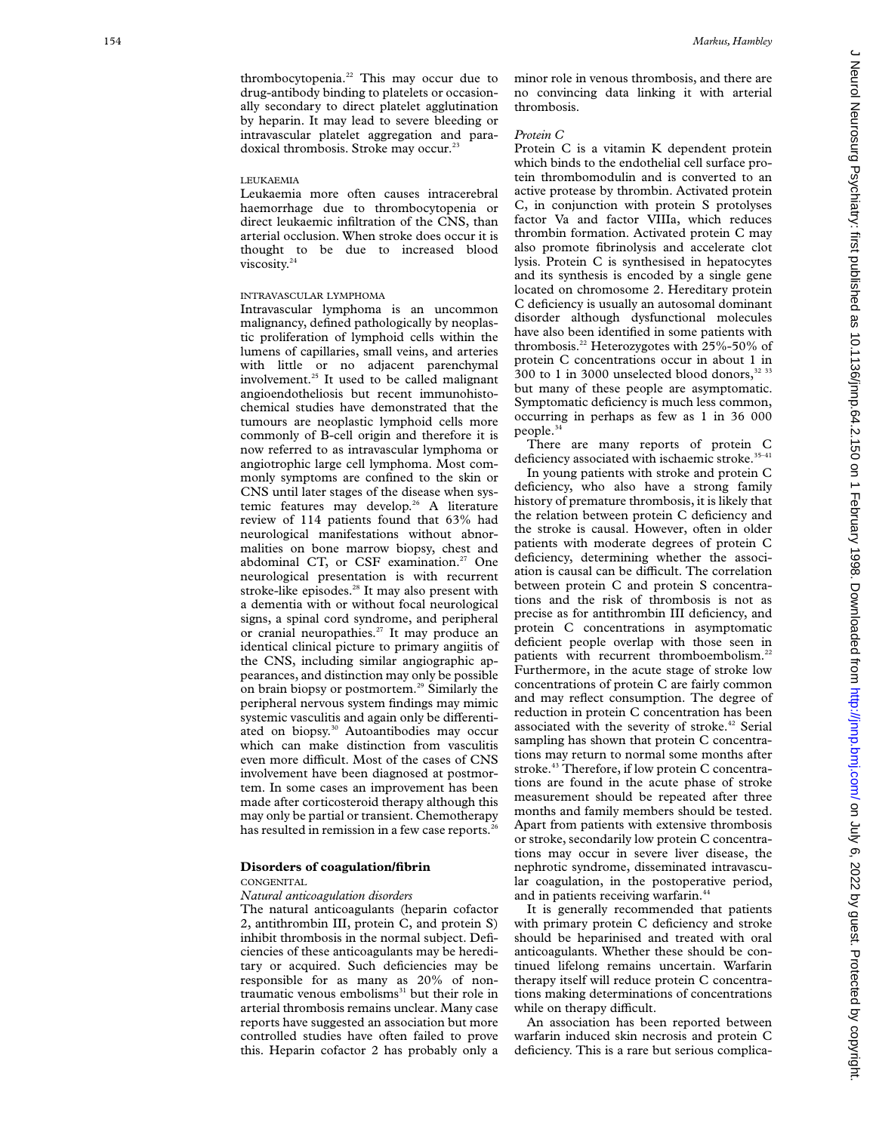thrombocytopenia.22 This may occur due to drug-antibody binding to platelets or occasionally secondary to direct platelet agglutination by heparin. It may lead to severe bleeding or intravascular platelet aggregation and paradoxical thrombosis. Stroke may occur.<sup>23</sup>

# LEUKAEMIA

Leukaemia more often causes intracerebral haemorrhage due to thrombocytopenia or direct leukaemic infiltration of the CNS, than arterial occlusion. When stroke does occur it is thought to be due to increased blood viscosity.<sup>24</sup>

#### INTRAVASCULAR LYMPHOMA

Intravascular lymphoma is an uncommon malignancy, defined pathologically by neoplastic proliferation of lymphoid cells within the lumens of capillaries, small veins, and arteries with little or no adjacent parenchymal involvement.<sup>25</sup> It used to be called malignant angioendotheliosis but recent immunohistochemical studies have demonstrated that the tumours are neoplastic lymphoid cells more commonly of B-cell origin and therefore it is now referred to as intravascular lymphoma or angiotrophic large cell lymphoma. Most commonly symptoms are confined to the skin or CNS until later stages of the disease when systemic features may develop.<sup>26</sup> A literature review of 114 patients found that 63% had neurological manifestations without abnormalities on bone marrow biopsy, chest and abdominal CT, or CSF examination.<sup>27</sup> One neurological presentation is with recurrent stroke-like episodes.<sup>28</sup> It may also present with a dementia with or without focal neurological signs, a spinal cord syndrome, and peripheral or cranial neuropathies.<sup>27</sup> It may produce an identical clinical picture to primary angiitis of the CNS, including similar angiographic appearances, and distinction may only be possible on brain biopsy or postmortem.29 Similarly the peripheral nervous system findings may mimic systemic vasculitis and again only be differentiated on biopsy.<sup>30</sup> Autoantibodies may occur which can make distinction from vasculitis even more difficult. Most of the cases of CNS involvement have been diagnosed at postmortem. In some cases an improvement has been made after corticosteroid therapy although this may only be partial or transient. Chemotherapy has resulted in remission in a few case reports.<sup>2</sup>

#### **Disorders of coagulation/fibrin**

#### CONGENITAL

*Natural anticoagulation disorders*

The natural anticoagulants (heparin cofactor 2, antithrombin III, protein C, and protein S) inhibit thrombosis in the normal subject. Deficiencies of these anticoagulants may be hereditary or acquired. Such deficiencies may be responsible for as many as 20% of nontraumatic venous embolisms $31$  but their role in arterial thrombosis remains unclear. Many case reports have suggested an association but more controlled studies have often failed to prove this. Heparin cofactor 2 has probably only a minor role in venous thrombosis, and there are no convincing data linking it with arterial thrombosis.

# *Protein C*

Protein C is a vitamin K dependent protein which binds to the endothelial cell surface protein thrombomodulin and is converted to an active protease by thrombin. Activated protein C, in conjunction with protein S protolyses factor Va and factor VIIIa, which reduces thrombin formation. Activated protein C may also promote fibrinolysis and accelerate clot lysis. Protein C is synthesised in hepatocytes and its synthesis is encoded by a single gene located on chromosome 2. Hereditary protein C deficiency is usually an autosomal dominant disorder although dysfunctional molecules have also been identified in some patients with thrombosis.<sup>22</sup> Heterozygotes with 25%-50% of protein C concentrations occur in about 1 in 300 to 1 in 3000 unselected blood donors,  $32^{33}$ but many of these people are asymptomatic. Symptomatic deficiency is much less common, occurring in perhaps as few as 1 in 36 000 people.<sup>3</sup>

There are many reports of protein C deficiency associated with ischaemic stroke.<sup>35-41</sup>

In young patients with stroke and protein C deficiency, who also have a strong family history of premature thrombosis, it is likely that the relation between protein C deficiency and the stroke is causal. However, often in older patients with moderate degrees of protein C deficiency, determining whether the association is causal can be difficult. The correlation between protein C and protein S concentrations and the risk of thrombosis is not as precise as for antithrombin III deficiency, and protein C concentrations in asymptomatic deficient people overlap with those seen in patients with recurrent thromboembolism.<sup>22</sup> Furthermore, in the acute stage of stroke low concentrations of protein C are fairly common and may reflect consumption. The degree of reduction in protein C concentration has been associated with the severity of stroke.<sup>42</sup> Serial sampling has shown that protein C concentrations may return to normal some months after stroke.<sup>43</sup> Therefore, if low protein C concentrations are found in the acute phase of stroke measurement should be repeated after three months and family members should be tested. Apart from patients with extensive thrombosis or stroke, secondarily low protein C concentrations may occur in severe liver disease, the nephrotic syndrome, disseminated intravascular coagulation, in the postoperative period, and in patients receiving warfarin.<sup>44</sup>

It is generally recommended that patients with primary protein C deficiency and stroke should be heparinised and treated with oral anticoagulants. Whether these should be continued lifelong remains uncertain. Warfarin therapy itself will reduce protein C concentrations making determinations of concentrations while on therapy difficult.

An association has been reported between warfarin induced skin necrosis and protein C deficiency. This is a rare but serious complica-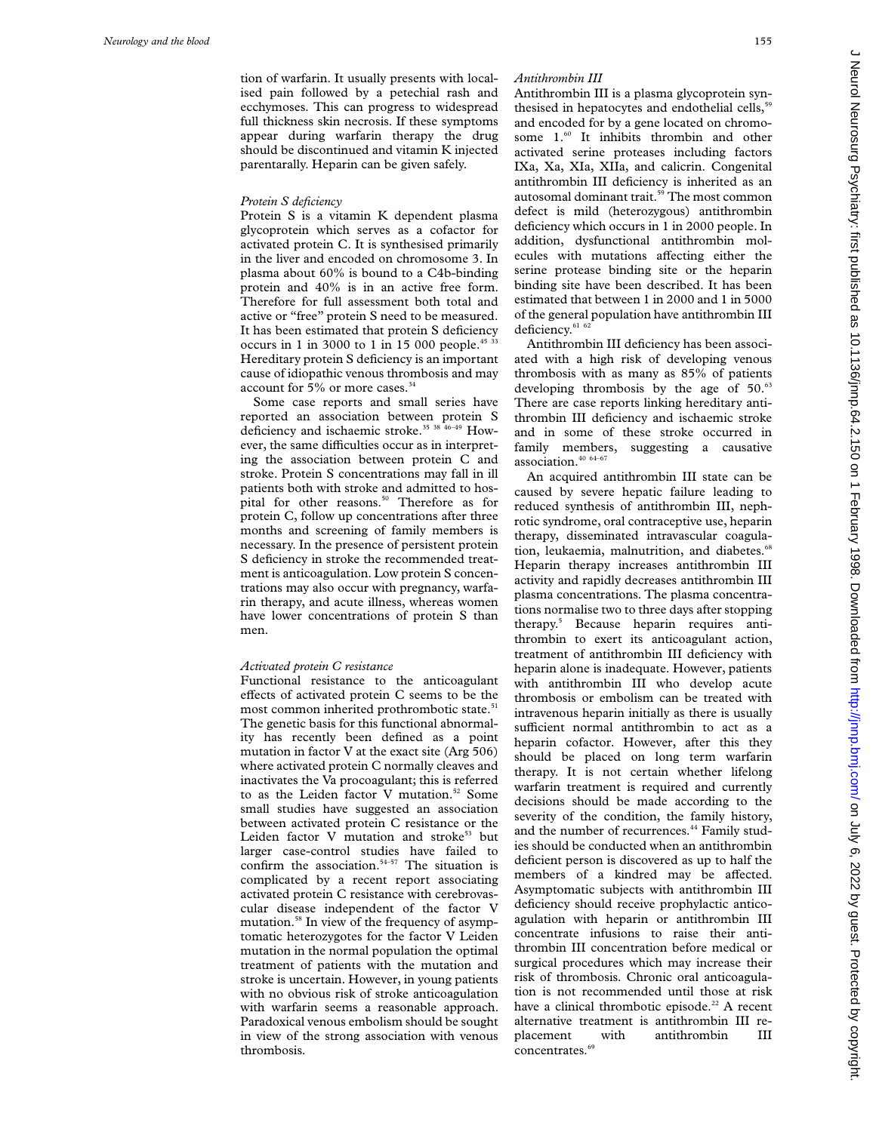tion of warfarin. It usually presents with localised pain followed by a petechial rash and ecchymoses. This can progress to widespread full thickness skin necrosis. If these symptoms appear during warfarin therapy the drug should be discontinued and vitamin K injected parentarally. Heparin can be given safely.

## *Protein S deficiency*

Protein S is a vitamin K dependent plasma glycoprotein which serves as a cofactor for activated protein C. It is synthesised primarily in the liver and encoded on chromosome 3. In plasma about 60% is bound to a C4b-binding protein and 40% is in an active free form. Therefore for full assessment both total and active or "free" protein S need to be measured. It has been estimated that protein S deficiency occurs in 1 in 3000 to 1 in 15 000 people.<sup>45 33</sup> Hereditary protein S deficiency is an important cause of idiopathic venous thrombosis and may account for 5% or more cases.<sup>34</sup>

Some case reports and small series have reported an association between protein S deficiency and ischaemic stroke.<sup>35 38 46-49</sup> However, the same difficulties occur as in interpreting the association between protein C and stroke. Protein S concentrations may fall in ill patients both with stroke and admitted to hospital for other reasons.<sup>50</sup> Therefore as for protein C, follow up concentrations after three months and screening of family members is necessary. In the presence of persistent protein S deficiency in stroke the recommended treatment is anticoagulation. Low protein S concentrations may also occur with pregnancy, warfarin therapy, and acute illness, whereas women have lower concentrations of protein S than men.

## *Activated protein C resistance*

Functional resistance to the anticoagulant effects of activated protein C seems to be the most common inherited prothrombotic state.<sup>5</sup> The genetic basis for this functional abnormality has recently been defined as a point mutation in factor V at the exact site (Arg 506) where activated protein C normally cleaves and inactivates the Va procoagulant; this is referred to as the Leiden factor V mutation.<sup>52</sup> Some small studies have suggested an association between activated protein C resistance or the Leiden factor V mutation and stroke<sup>53</sup> but larger case-control studies have failed to confirm the association.<sup>54-57</sup> The situation is complicated by a recent report associating activated protein C resistance with cerebrovascular disease independent of the factor V mutation.58 In view of the frequency of asymptomatic heterozygotes for the factor V Leiden mutation in the normal population the optimal treatment of patients with the mutation and stroke is uncertain. However, in young patients with no obvious risk of stroke anticoagulation with warfarin seems a reasonable approach. Paradoxical venous embolism should be sought in view of the strong association with venous thrombosis.

# *Antithrombin III*

Antithrombin III is a plasma glycoprotein synthesised in hepatocytes and endothelial cells,<sup>59</sup> and encoded for by a gene located on chromosome 1.<sup>60</sup> It inhibits thrombin and other activated serine proteases including factors IXa, Xa, XIa, XIIa, and calicrin. Congenital antithrombin III deficiency is inherited as an autosomal dominant trait.<sup>59</sup> The most common defect is mild (heterozygous) antithrombin deficiency which occurs in 1 in 2000 people. In addition, dysfunctional antithrombin molecules with mutations affecting either the serine protease binding site or the heparin binding site have been described. It has been estimated that between 1 in 2000 and 1 in 5000 of the general population have antithrombin III deficiency.<sup>61 62</sup>

Antithrombin III deficiency has been associated with a high risk of developing venous thrombosis with as many as 85% of patients developing thrombosis by the age of  $50.^{63}$ There are case reports linking hereditary antithrombin III deficiency and ischaemic stroke and in some of these stroke occurred in family members, suggesting a causative association.40 64–67

An acquired antithrombin III state can be caused by severe hepatic failure leading to reduced synthesis of antithrombin III, nephrotic syndrome, oral contraceptive use, heparin therapy, disseminated intravascular coagulation, leukaemia, malnutrition, and diabetes.<sup>68</sup> Heparin therapy increases antithrombin III activity and rapidly decreases antithrombin III plasma concentrations. The plasma concentrations normalise two to three days after stopping therapy.5 Because heparin requires antithrombin to exert its anticoagulant action, treatment of antithrombin III deficiency with heparin alone is inadequate. However, patients with antithrombin III who develop acute thrombosis or embolism can be treated with intravenous heparin initially as there is usually sufficient normal antithrombin to act as a heparin cofactor. However, after this they should be placed on long term warfarin therapy. It is not certain whether lifelong warfarin treatment is required and currently decisions should be made according to the severity of the condition, the family history, and the number of recurrences.<sup>44</sup> Family studies should be conducted when an antithrombin deficient person is discovered as up to half the members of a kindred may be affected. Asymptomatic subjects with antithrombin III deficiency should receive prophylactic anticoagulation with heparin or antithrombin III concentrate infusions to raise their antithrombin III concentration before medical or surgical procedures which may increase their risk of thrombosis. Chronic oral anticoagulation is not recommended until those at risk have a clinical thrombotic episode.<sup>22</sup> A recent alternative treatment is antithrombin III replacement with antithrombin III concentrates.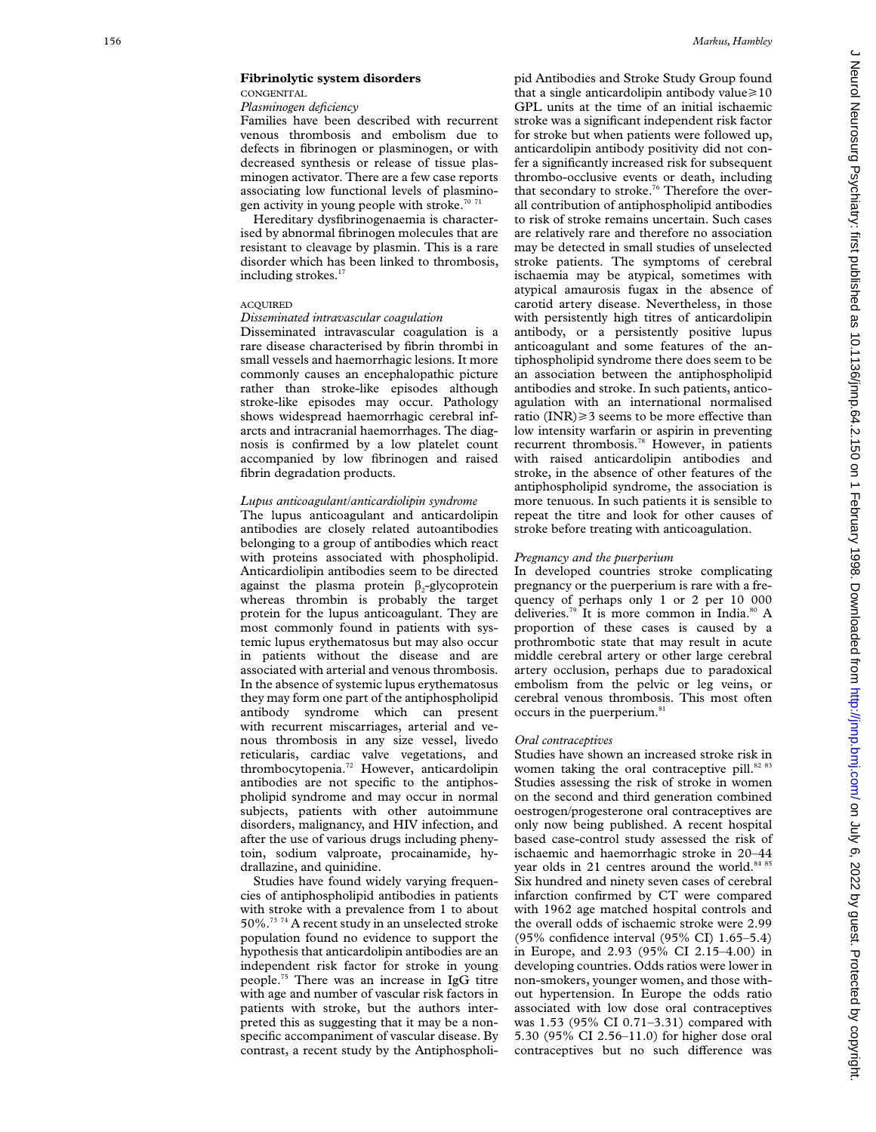## **Fibrinolytic system disorders CONGENITAL**

*Plasminogen deficiency*

Families have been described with recurrent venous thrombosis and embolism due to defects in fibrinogen or plasminogen, or with decreased synthesis or release of tissue plasminogen activator. There are a few case reports associating low functional levels of plasminogen activity in young people with stroke.<sup>70 71</sup>

Hereditary dysfibrinogenaemia is characterised by abnormal fibrinogen molecules that are resistant to cleavage by plasmin. This is a rare disorder which has been linked to thrombosis, including strokes.<sup>17</sup>

#### **ACQUIRED**

#### *Disseminated intravascular coagulation*

Disseminated intravascular coagulation is a rare disease characterised by fibrin thrombi in small vessels and haemorrhagic lesions. It more commonly causes an encephalopathic picture rather than stroke-like episodes although stroke-like episodes may occur. Pathology shows widespread haemorrhagic cerebral infarcts and intracranial haemorrhages. The diagnosis is confirmed by a low platelet count accompanied by low fibrinogen and raised fibrin degradation products.

## *Lupus anticoagulant/anticardiolipin syndrome*

The lupus anticoagulant and anticardolipin antibodies are closely related autoantibodies belonging to a group of antibodies which react with proteins associated with phospholipid. Anticardiolipin antibodies seem to be directed against the plasma protein  $\beta_2$ -glycoprotein whereas thrombin is probably the target protein for the lupus anticoagulant. They are most commonly found in patients with systemic lupus erythematosus but may also occur in patients without the disease and are associated with arterial and venous thrombosis. In the absence of systemic lupus erythematosus they may form one part of the antiphospholipid antibody syndrome which can present with recurrent miscarriages, arterial and venous thrombosis in any size vessel, livedo reticularis, cardiac valve vegetations, and thrombocytopenia.<sup>72</sup> However, anticardolipin antibodies are not specific to the antiphospholipid syndrome and may occur in normal subjects, patients with other autoimmune disorders, malignancy, and HIV infection, and after the use of various drugs including phenytoin, sodium valproate, procainamide, hydrallazine, and quinidine.

Studies have found widely varying frequencies of antiphospholipid antibodies in patients with stroke with a prevalence from 1 to about 50%.73 74 A recent study in an unselected stroke population found no evidence to support the hypothesis that anticardolipin antibodies are an independent risk factor for stroke in young people.75 There was an increase in IgG titre with age and number of vascular risk factors in patients with stroke, but the authors interpreted this as suggesting that it may be a nonspecific accompaniment of vascular disease. By contrast, a recent study by the Antiphospholipid Antibodies and Stroke Study Group found that a single anticardolipin antibody value≥10 GPL units at the time of an initial ischaemic stroke was a significant independent risk factor for stroke but when patients were followed up, anticardolipin antibody positivity did not confer a significantly increased risk for subsequent thrombo-occlusive events or death, including that secondary to stroke.<sup>76</sup> Therefore the overall contribution of antiphospholipid antibodies to risk of stroke remains uncertain. Such cases are relatively rare and therefore no association may be detected in small studies of unselected stroke patients. The symptoms of cerebral ischaemia may be atypical, sometimes with atypical amaurosis fugax in the absence of carotid artery disease. Nevertheless, in those with persistently high titres of anticardolipin antibody, or a persistently positive lupus anticoagulant and some features of the antiphospholipid syndrome there does seem to be an association between the antiphospholipid antibodies and stroke. In such patients, anticoagulation with an international normalised ratio (INR) $\geq$ 3 seems to be more effective than low intensity warfarin or aspirin in preventing recurrent thrombosis.<sup>78</sup> However, in patients with raised anticardolipin antibodies and stroke, in the absence of other features of the antiphospholipid syndrome, the association is more tenuous. In such patients it is sensible to repeat the titre and look for other causes of stroke before treating with anticoagulation.

## *Pregnancy and the puerperium*

In developed countries stroke complicating pregnancy or the puerperium is rare with a frequency of perhaps only 1 or 2 per 10 000 deliveries.<sup>79</sup> It is more common in India.<sup>80</sup> A proportion of these cases is caused by a prothrombotic state that may result in acute middle cerebral artery or other large cerebral artery occlusion, perhaps due to paradoxical embolism from the pelvic or leg veins, or cerebral venous thrombosis. This most often occurs in the puerperium.<sup>81</sup>

#### *Oral contraceptives*

Studies have shown an increased stroke risk in women taking the oral contraceptive pill.<sup>82 83</sup> Studies assessing the risk of stroke in women on the second and third generation combined oestrogen/progesterone oral contraceptives are only now being published. A recent hospital based case-control study assessed the risk of ischaemic and haemorrhagic stroke in 20–44 year olds in 21 centres around the world.<sup>84 85</sup> Six hundred and ninety seven cases of cerebral infarction confirmed by CT were compared with 1962 age matched hospital controls and the overall odds of ischaemic stroke were 2.99 (95% confidence interval (95% CI) 1.65–5.4) in Europe, and 2.93 (95% CI 2.15–4.00) in developing countries. Odds ratios were lower in non-smokers, younger women, and those without hypertension. In Europe the odds ratio associated with low dose oral contraceptives was 1.53 (95% CI 0.71–3.31) compared with 5.30 (95% CI 2.56–11.0) for higher dose oral contraceptives but no such difference was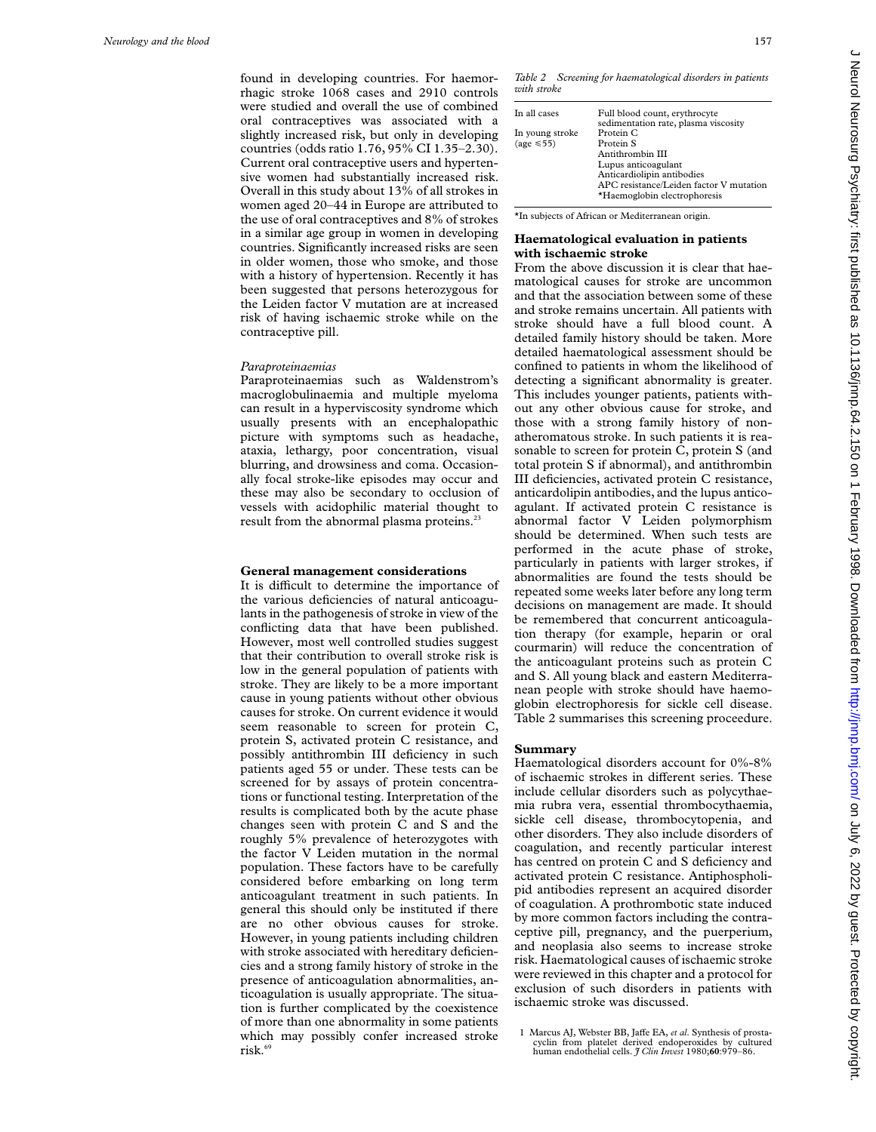found in developing countries. For haemorrhagic stroke 1068 cases and 2910 controls were studied and overall the use of combined oral contraceptives was associated with a slightly increased risk, but only in developing countries (odds ratio 1.76, 95% CI 1.35–2.30). Current oral contraceptive users and hypertensive women had substantially increased risk. Overall in this study about 13% of all strokes in women aged 20–44 in Europe are attributed to the use of oral contraceptives and 8% of strokes in a similar age group in women in developing countries. Significantly increased risks are seen in older women, those who smoke, and those with a history of hypertension. Recently it has been suggested that persons heterozygous for the Leiden factor V mutation are at increased risk of having ischaemic stroke while on the contraceptive pill.

#### *Paraproteinaemias*

Paraproteinaemias such as Waldenstrom's macroglobulinaemia and multiple myeloma can result in a hyperviscosity syndrome which usually presents with an encephalopathic picture with symptoms such as headache, ataxia, lethargy, poor concentration, visual blurring, and drowsiness and coma. Occasionally focal stroke-like episodes may occur and these may also be secondary to occlusion of vessels with acidophilic material thought to result from the abnormal plasma proteins.<sup>23</sup>

## **General management considerations**

It is difficult to determine the importance of the various deficiencies of natural anticoagulants in the pathogenesis of stroke in view of the conflicting data that have been published. However, most well controlled studies suggest that their contribution to overall stroke risk is low in the general population of patients with stroke. They are likely to be a more important cause in young patients without other obvious causes for stroke. On current evidence it would seem reasonable to screen for protein C, protein S, activated protein C resistance, and possibly antithrombin III deficiency in such patients aged 55 or under. These tests can be screened for by assays of protein concentrations or functional testing. Interpretation of the results is complicated both by the acute phase changes seen with protein C and S and the roughly 5% prevalence of heterozygotes with the factor V Leiden mutation in the normal population. These factors have to be carefully considered before embarking on long term anticoagulant treatment in such patients. In general this should only be instituted if there are no other obvious causes for stroke. However, in young patients including children with stroke associated with hereditary deficiencies and a strong family history of stroke in the presence of anticoagulation abnormalities, anticoagulation is usually appropriate. The situation is further complicated by the coexistence of more than one abnormality in some patients which may possibly confer increased stroke risk.<sup>6</sup>

*Table 2 Screening for haematological disorders in patients with stroke*

| In all cases           | Full blood count, erythrocyte<br>sedimentation rate, plasma viscosity |
|------------------------|-----------------------------------------------------------------------|
| In young stroke        | Protein C                                                             |
| $\text{(age} \leq 55)$ | Protein S                                                             |
|                        | Antithrombin III                                                      |
|                        | Lupus anticoagulant                                                   |
|                        | Anticardiolipin antibodies                                            |
|                        | APC resistance/Leiden factor V mutation                               |
|                        | *Haemoglobin electrophoresis                                          |
|                        |                                                                       |

\*In subjects of African or Mediterranean origin.

## **Haematological evaluation in patients with ischaemic stroke**

From the above discussion it is clear that haematological causes for stroke are uncommon and that the association between some of these and stroke remains uncertain. All patients with stroke should have a full blood count. A detailed family history should be taken. More detailed haematological assessment should be confined to patients in whom the likelihood of detecting a significant abnormality is greater. This includes younger patients, patients without any other obvious cause for stroke, and those with a strong family history of nonatheromatous stroke. In such patients it is reasonable to screen for protein C, protein S (and total protein S if abnormal), and antithrombin III deficiencies, activated protein C resistance, anticardolipin antibodies, and the lupus anticoagulant. If activated protein C resistance is abnormal factor V Leiden polymorphism should be determined. When such tests are performed in the acute phase of stroke, particularly in patients with larger strokes, if abnormalities are found the tests should be repeated some weeks later before any long term decisions on management are made. It should be remembered that concurrent anticoagulation therapy (for example, heparin or oral courmarin) will reduce the concentration of the anticoagulant proteins such as protein C and S. All young black and eastern Mediterranean people with stroke should have haemoglobin electrophoresis for sickle cell disease. Table 2 summarises this screening proceedure.

## **Summary**

Haematological disorders account for 0%-8% of ischaemic strokes in different series. These include cellular disorders such as polycythaemia rubra vera, essential thrombocythaemia, sickle cell disease, thrombocytopenia, and other disorders. They also include disorders of coagulation, and recently particular interest has centred on protein C and S deficiency and activated protein C resistance. Antiphospholipid antibodies represent an acquired disorder of coagulation. A prothrombotic state induced by more common factors including the contraceptive pill, pregnancy, and the puerperium, and neoplasia also seems to increase stroke risk. Haematological causes of ischaemic stroke were reviewed in this chapter and a protocol for exclusion of such disorders in patients with ischaemic stroke was discussed.

<sup>1</sup> Marcus AJ, Webster BB, Jaffe EA, et al. Synthesis of prostacyclin from platelet derived endoperoxides by cultured human endothelial cells. *J Clin Invest* 1980;**60**:979–86.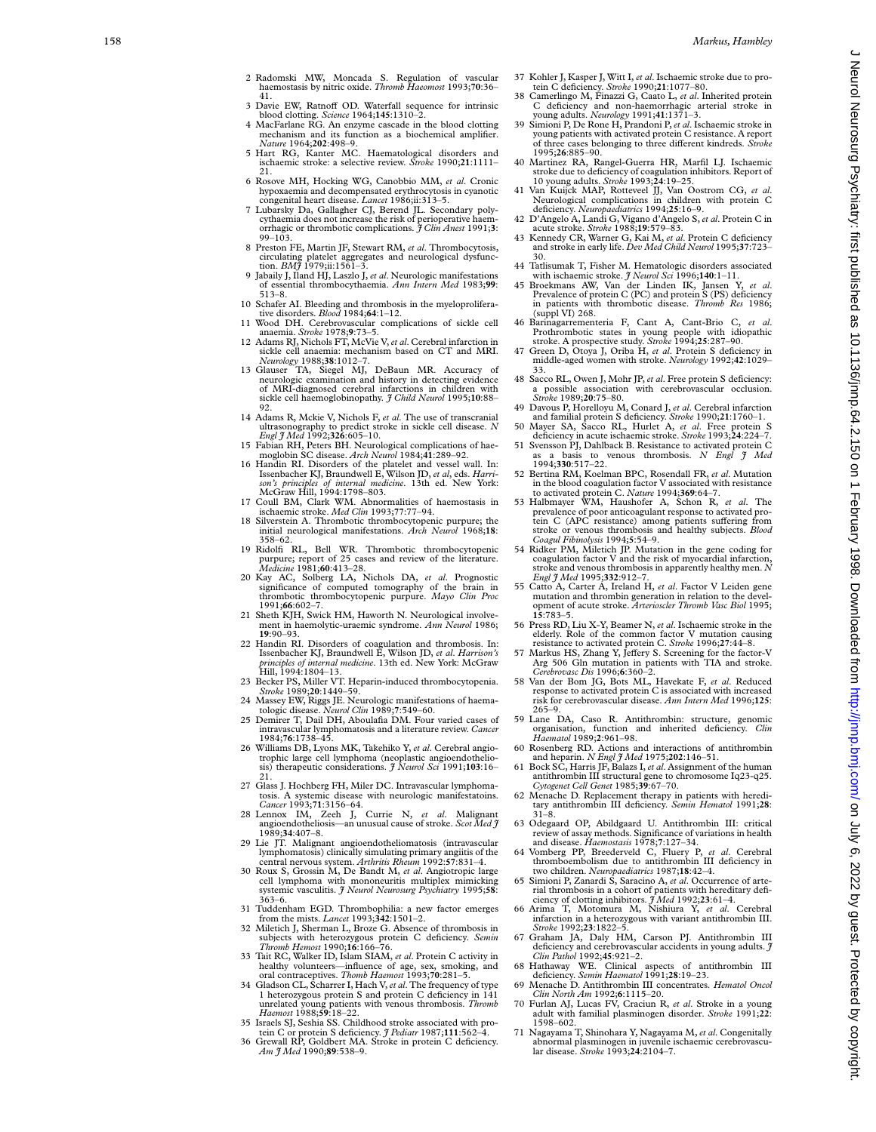- 2 Radomski MW, Moncada S. Regulation of vascular haemostasis by nitric oxide. *Thromb Haeomost* 1993;**70**:36– 41.
- 3 Davie EW, Ratnoff OD. Waterfall sequence for intrinsic blood clotting. *Science* 1964;145:1310–2.<br>4 MacFarlane RG. An enzyme cascade in the blood clotting
- mechanism and its function as a biochemical amplifier. *Nature* 1964;**202**:498–9.
- 5 Hart RG, Kanter MC. Haematological disorders and ischaemic stroke: a selective review. *Stroke* 1990;**21**:1111– 21.
- 6 Rosove MH, Hocking WG, Canobbio MM, *et al*. Cronic hypoxaemia and decompensated erythrocytosis in cyanotic congenital heart disease. *Lancet* 1986;ii:313–5.
- 7 Lubarsky Da, Gallagher CJ, Berend JL. Secondary poly-cythaemia does not increase the risk of perioperative haem-orrhagic or thrombotic complications. *J Clin Anest* 1991;**3**: 99–103.
- 8 Preston FE, Martin JF, Stewart RM, *et al*. Thrombocytosis, circulating platelet aggregates and neurological dysfunc-tion. *BMJ* 1979;ii:1561–3.
- 9 Jabaily J, Iland HJ, Laszlo J, *et al*. Neurologic manifestations of essential thrombocythaemia. *Ann Intern Med* 1983;**99** : 513–8.
- 10 Schafer AI. Bleeding and thrombosis in the myeloprolifera-tive disorders. *Blood* 1984;**64**:1–12.
- 11 Wood DH. Cerebrovascular complications of sickle cell anaemia. *Stroke* 1978; **9**:73–5.
- 12 Adams RJ, Nichols FT, McVie V,*et al*. Cerebral infarction in sickle cell anaemia: mechanism based on CT and MRI. *Neurology* 1988;**38**:1012–7.
- 13 Glauser TA, Siegel MJ, DeBaun MR. Accuracy of neurologic examination and history in detecting evidence of MRI-diagnosed cerebral infarctions in children with sickle cell haemoglobinopathy. *J Child Neurol* 1995;**10**:88– 92.
- 14 Adams R, Mckie V, Nichols F, *et al*. The use of transcranial ultrasonography to predict stroke in sickle cell disease. *N Engl J Med* 1992;**326**:605–10.
- 15 Fabian RH, Peters BH. Neurological complications of haemoglobin SC disease. *Arch Neurol* 1984;**41**:289–92. 16 Handin RI. Disorders of the platelet and vessel wall. In:
- Issenbacher KJ, Braundwell E, Wilson JD, *et al*, eds. *Harri-son's principles of internal medicine*. 13th ed. New York: McGraw Hill, 1994:1798–803.
- 17 Coull BM, Clark WM. Abnormalities of haemostasis in ischaemic stroke. *Med Clin* 1993;**77**:77–94. 18 Silverstein A. Thrombotic thrombocytopenic purpure; the
- initial neurological manifestations. *Arch Neurol* 1968;**18** initial neurological manifestations. Arch Neurol 1968;18:<br>358–62.<br>19 Ridolfi RL, Bell WR. Thrombotic thrombocytopenic
- purpure; report of 25 cases and review of the literature. *Medicine* 1981;**60**:413–28.
- 20 Kay AC, Solberg LA, Nichols DA, *et al*. Prognostic significance of computed tomography of the brain in thrombotic thrombocytopenic purpure. *Mayo Clin Proc* 1991;**66**:602–7. 21 Sheth KJH, Swick HM, Haworth N. Neurological involve-
- ment in haemolytic-uraemic syndrome. *Ann Neurol* 1986; **19**:90–93.
- 22 Handin RI. Disorders of coagulation and thrombosis. In: Issenbacher KJ, Braundwell E, Wilson JD, *et al* . *Harrison's principles of internal medicine*. 13th ed. New York: McGraw Hill, 1994:1804–13.
- 23 Becker PS, Miller VT. Heparin-induced thrombocytopenia. *Stroke* 1989;**20**:1449–59.
- 24 Massey EW, Riggs JE. Neurologic manifestations of haema-tologic disease. *Neurol Clin* 1989;**7**:549–60.
- 25 Demirer T, Dail DH, Aboulafia DM. Four varied cases of intravascular lymphomatosis and a literature review. *Cancer* 1984;**76**:1738–45.
- 26 Williams DB, Lyons MK, Takehiko Y, *et al*. Cerebral angiotrophic large cell lymphoma (neoplastic angioendothelio-sis) therapeutic considerations. *J Neurol Sci* 1991;**103**:16– 21.
- 27 Glass J. Hochberg FH, Miler DC. Intravascular lymphomatosis. A systemic disease with neurologic manifestatoins. *Cancer* 1993;**71**:3156–64.
- 28 Lennox IM, Zeeh J, Currie N, *et al*. Malignant angioendotheliosis—an unusual cause of stroke. *Scot Med J* 1989;**34**:407–8.
- 29 Lie JT. Malignant angioendotheliomatosis (intravascular lymphomatosis) clinically simulating primary angiitis of the central nervous system. *Arthritis Rheum* 1992:**57**:831–4.
- 30 Roux S, Grossin M, De Bandt M, *et al*. Angiotropic large cell lymphoma with mononeuritis multiplex mimicking systemic vasculitis. *J Neurol Neurosurg Psychiatry* 1995;**58** : 363–6.
- 31 Tuddenham EGD. Thrombophilia: a new factor emerges from the mists. *Lancet* 1993;**342**:1501–2.
- 32 Miletich J, Sherman L, Broze G. Absence of thrombosis in subjects with heterozygous protein C deficiency. *Semin Thromb Hemost* 1990;**16**:166–76.
- 33 Tait RC, Walker ID, Islam SIAM, *et al*. Protein C activity in healthy volunteers—influence of age, sex, smoking, and oral contraceptives. *Thomb Haemost* 1993;**70**:281–5. 34 Gladson CL, Scharrer I, Hach V,*et al*. The frequency of type
- 1 heterozygous protein S and protein C deficiency in 141 unrelated young patients with venous thrombosis. *Thromb Haemost* 1988;**59**:18–22.
- 35 Israels SJ, Seshia SS. Childhood stroke associated with pro-
- tein C or protein S deficiency. *J Pediatr* 1987;**111**:562–4. 36 Grewall RP, Goldbert MA. Stroke in protein C deficiency. *Am J Med* 1990;**89**:538–9.
- 37 Kohler J, Kasper J, Witt I, *et al*. Ischaemic stroke due to pro-tein C deficiency. *Stroke* 1990;**21**:1077–80.
- 38 Camerlingo M, Finazzi G, Caato L, et al. Inherited protein<br>C deficiency and non-haemorrhagic arterial stroke in<br>young adults. *Neurology* 1991;41:1371-3.<br>Simioni P, De Rone H, Prandoni P, et al. Ischaemic stroke in
- young patients with activated protein C resistance. A report of three cases belonging to three di Verent kindreds. *Stroke* 1995;**26**:885–90.
- 40 Martinez RA, Rangel-Guerra HR, Marfil LJ. Ischaemic stroke due to deficiency of coagulation inhibitors. Report of 10 young adults. *Stroke* 1993;**24**:19–25.
- 41 Van Kuijck MAP, Rotteveel JJ, Van Oostrom CG, *et al* . Neurological complications in children with protein C deficiency. *Neuropaediatrics* 1994;**25**:16–9.
- 42 D'Angelo A, Landi G, Vigano d'Angelo S,*et al*. Protein C in acute stroke. *Stroke* 1988;**19**:579–83. 43 Kennedy CR, Warner G, Kai M, *et al*. Protein C deficiency
- and stroke in early life. *Dev Med Child Neurol* 1995;**37**:723– 30.
- 
- 44 Tatlisumak T, Fisher M. Hematologic disorders associated<br>with ischaemic stroke. *J Neurol Sci* 1996;140:1-11.<br>45 Broekmans AW, Van der Linden IK, Jansen Y, et al.<br>Prevalence of protein C (PC) and protein S (PS) deficien (suppl VI) 268.
- 46 Barinagarrementeria F, Cant A, Cant-Brio C, *et al* 46 Barinagarrementeria F, Cant A, Cant-Brio C, *et al.* Prothrombotic states in young people with idiopathic stroke. A prospective study. *Stroke* 1994;**25**:287–90. 47 Green D, Otoya J, Oriba H, *et al.* Protein S deficien
- middle-aged women with stroke. *Neurology* 1992;**42**:1029– 33.
- 48 Sacco RL, Owen J, Mohr JP, *et al*. Free protein S deficiency: a possible association with cerebrovascular occlusion. *Stroke* 1989;**20**:75–80.
- Davous P, Horelloyu M, Conard J, *et al.* Cerebral infarction and familial protein S deficiency. *Stroke* 1990;**21**:1760–1. 50 Mayer SA, Sacco RL, Hurlet A, *et al*. Free protein S
- deficiency in acute ischaemic stroke. *Stroke* 1993;**24**:224–7.
- 51 Svensson PJ, Dahlback B. Resistance to activated protein C as a basis to venous thrombosis. *N Engl J Med* 1994;**330**:517–22.
- 52 Bertina RM, Koelman BPC, Rosendall FR, *et al*. Mutation in the blood coagulation factor V associated with resistance
- to activated protein C. *Nature* 1994;**369**:64–7. 53 Halbmayer WM, Haushofer A, Schon R, *et al*. The prevalence of poor anticoagulant response to activated protein C (APC resistance) among patients suffering from stroke or venous thrombosis and healthy subjects. *Blood Coagul Fibinolysis* 1994; **5**:54–9.
- 54 Ridker PM, Miletich JP. Mutation in the gene coding for coagulation factor V and the risk of myocardial infarction, stroke and venous thrombosis in apparently healthy men. *N*<br> *Engl J Med* 1995;332:912–7.<br>
55 Catto A, Carter A, Ireland H, *et al.* Factor V Leiden gene
- mutation and thrombin generation in relation to the development of acute stroke. *Arterioscler Thromb Vasc Biol* 1995; **15**:783–5.
- 56 Press RD, Liu X-Y, Beamer N, *et al*. Ischaemic stroke in the elderly. Role of the common factor V mutation causing resistance to activated protein C. *Stroke* 1996;**27**:44–8. 57 Markus HS, Zhang Y, Je Very S. Screening for the factor-V
- Arg 506 Gln mutation in patients with TIA and stroke. *Cerebrovasc Dis* 1996; **6**:360–2.
- 58 Van der Bom JG, Bots ML, Havekate F, *et al*. Reduced response to activated protein C is associated with increased risk for cerebrovascular disease. *Ann Intern Med* 1996;**125** : 265–9.
- 59 Lane DA, Caso R. Antithrombin: structure, genomic organisation, function and inherited deficiency. *Clin Haematol* 1989; **2**:961–98.
- 60 Rosenberg RD. Actions and interactions of antithrombin and heparin. *N Engl J Med* 1975;**202**:146–51. 61 Bock SC, Harris JF, Balazs I,*et al*. Assignment of the human
- antithrombin III structural gene to chromosome Iq23-q25. *Cytogenet Cell Genet* 1985;**39**:67–70.
- 62 Menache D. Replacement therapy in patients with hereditary antithrombin III deficiency. *Semin Hematol* 1991;**28**: 31–8.
- 63 Odegaard OP, Abildgaard U. Antithrombin III: critical review of assay methods. Significance of variations in health and disease. *Haemostasis* 1978; **7**:127–34. 64 Vomberg PP, Breederveld C, Fluery P, *et al*. Cerebral
- thromboembolism due to antithrombin III deficiency in two children. *Neuropaediatrics* 1987;**18**:42–4.
- 65 Simioni P, Zanardi S, Saracino A, *et al*. Occurrence of arte-rial thrombosis in a cohort of patients with hereditary defi-
- ciency of clotting inhibitors. *J Med* 1992;**23**:61–4. 66 Arima T, Motomura M, Nishiura Y, *et al*. Cerebral infarction in a heterozygous with variant antithrombin III. *Stroke* 1992;**23**:1822–5.
- 67 Graham JA, Daly HM, Carson PJ. Antithrombin III deficiency and cerebrovascular accidents in young adults. *J Clin Pathol* 1992;**45**:921–2.
- 68 Hathaway WE. Clinical aspects of antithrombin III deficiency. *Semin Haematol* 1991;**28**:19–23. 69 Menache D. Antithrombin III concentrates. *Hematol Oncol*
- *Clin North Am* 1992; **6**:1115–20.
- 70 Furlan AJ, Lucas FV, Craciun R, *et al*. Stroke in a young adult with familial plasminogen disorder. *Stroke* 1991;**22** : 1598–602.
- 71 Nagayama T, Shinohara Y, Nagayama M,*et al*. Congenitally abnormal plasminogen in juvenile ischaemic cerebrovascular disease. *Stroke* 1993;**24**:2104–7.